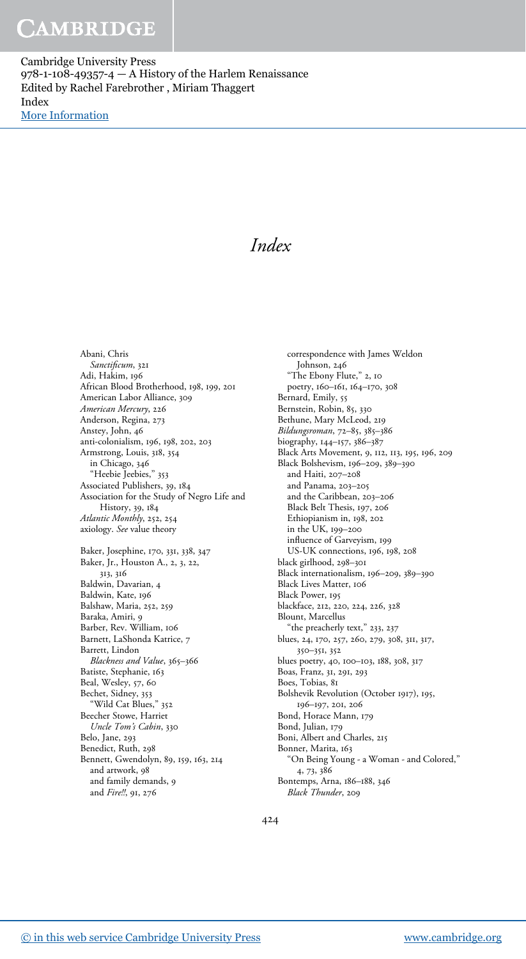Cambridge University Press 978-1-108-49357-4  $-$  A History of the Harlem Renaissance Edited by Rachel Farebrother , Miriam Thaggert Index [More Information](www.cambridge.org/9781108493574)

Index

Abani, Chris Sanctificum, 321 Adi, Hakim, 196 African Blood Brotherhood, 198, 199, 201 American Labor Alliance, 309 American Mercury, 226 Anderson, Regina, 273 Anstey, John, 46 anti-colonialism, 196, 198, 202, 203 Armstrong, Louis, 318, 354 in Chicago, 346 "Heebie Jeebies," 353 Associated Publishers, 39, 184 Association for the Study of Negro Life and History, 39, 184 Atlantic Monthly, 252, 254 axiology. See value theory Baker, Josephine, 170, 331, 338, 347 Baker, Jr., Houston A., 2, 3, 22, 313, 316 Baldwin, Davarian, 4 Baldwin, Kate, 196 Balshaw, Maria, 252, 259 Baraka, Amiri, 9 Barber, Rev. William, 106 Barnett, LaShonda Katrice, 7 Barrett, Lindon Blackness and Value, 365-366 Batiste, Stephanie, 163 Beal, Wesley, 57, 60 Bechet, Sidney, 353 "Wild Cat Blues," 352 Beecher Stowe, Harriet Uncle Tom's Cabin, 330 Belo, Jane, 293 Benedict, Ruth, 298 Bennett, Gwendolyn, 89, 159, 163, 214 and artwork, 98 and family demands, 9 and Fire!!, 91, 276

correspondence with James Weldon Johnson, 246 "The Ebony Flute," 2, 10 poetry, 160–161, 164–170, 308 Bernard, Emily, 55 Bernstein, Robin, 85, 330 Bethune, Mary McLeod, 219 Bildungsroman, 72–85, 385–386 biography, 144–157, 386–387 Black Arts Movement, 9, 112, 113, 195, 196, 209 Black Bolshevism, 196–209, 389–390 and Haiti, 207–208 and Panama, 203–205 and the Caribbean, 203–206 Black Belt Thesis, 197, 206 Ethiopianism in, 198, 202 in the UK, 199–200 influence of Garveyism, 199 US-UK connections, 196, 198, 208 black girlhood, 298–301 Black internationalism, 196–209, 389–390 Black Lives Matter, 106 Black Power, 195 blackface, 212, 220, 224, 226, 328 Blount, Marcellus "the preacherly text," 233, 237 blues, 24, 170, 257, 260, 279, 308, 311, 317, 350–351, 352 blues poetry, 40, 100–103, 188, 308, 317 Boas, Franz, 31, 291, 293 Boes, Tobias, 81 Bolshevik Revolution (October 1917), 195, 196–197, 201, 206 Bond, Horace Mann, 179 Bond, Julian, 179 Boni, Albert and Charles, 215 Bonner, Marita, 163 "On Being Young - a Woman - and Colored," 4, 73, 386 Bontemps, Arna, 186–188, 346 Black Thunder, 209

424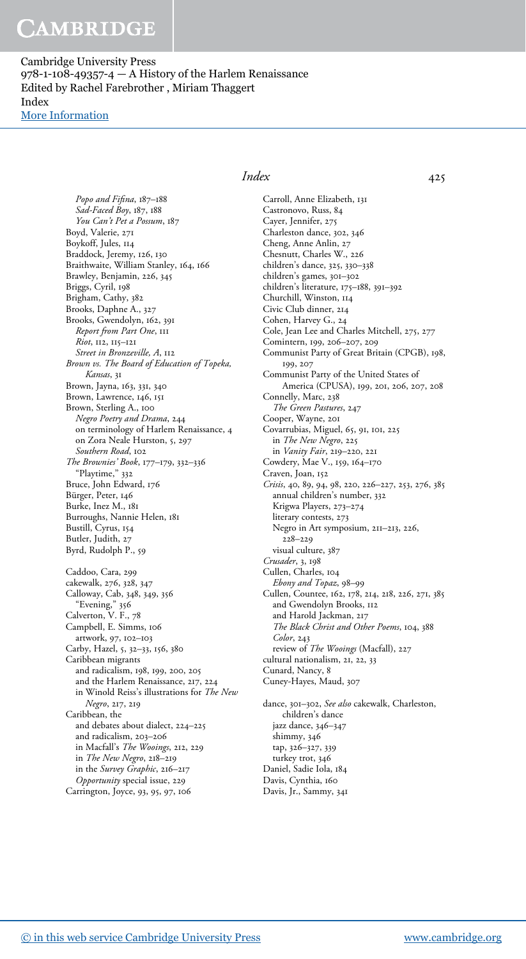Cambridge University Press 978-1-108-49357-4 — A History of the Harlem Renaissance Edited by Rachel Farebrother , Miriam Thaggert Index [More Information](www.cambridge.org/9781108493574)

Popo and Fifina, 187-188

Sad-Faced Boy, 187, 188 You Can't Pet a Possum, 187 Boyd, Valerie, 271 Boykoff, Jules, 114 Braddock, Jeremy, 126, 130 Braithwaite, William Stanley, 164, 166 Brawley, Benjamin, 226, 345 Briggs, Cyril, 198 Brigham, Cathy, 382 Brooks, Daphne A., 327 Brooks, Gwendolyn, 162, 391 Report from Part One, 111 Riot, 112, 115–121 Street in Bronzeville, A, 112 Brown vs. The Board of Education of Topeka, Kansas, 31 Brown, Jayna, 163, 331, 340 Brown, Lawrence, 146, 151 Brown, Sterling A., 100 Negro Poetry and Drama, 244 on terminology of Harlem Renaissance, 4 on Zora Neale Hurston, 5, 297 Southern Road, 102 The Brownies' Book, 177–179, 332–336 "Playtime," 332 Bruce, John Edward, 176 Bürger, Peter, 146 Burke, Inez M., 181 Burroughs, Nannie Helen, 181 Bustill, Cyrus, 154 Butler, Judith, 27 Byrd, Rudolph P., 59 Caddoo, Cara, 299 cakewalk, 276, 328, 347 Calloway, Cab, 348, 349, 356 "Evening," 356 Calverton, V. F., 78 Campbell, E. Simms, 106 artwork, 97, 102–103 Carby, Hazel, 5, 32–33, 156, 380 Caribbean migrants and radicalism, 198, 199, 200, 205 and the Harlem Renaissance, 217, 224 in Winold Reiss's illustrations for The New Negro, 217, 219 Caribbean, the and debates about dialect, 224–225 and radicalism, 203–206 in Macfall's The Wooings, 212, 229 in The New Negro, 218–219 in the Survey Graphic, 216–217 Opportunity special issue, 229 Carrington, Joyce, 93, 95, 97, 106

#### Index 425

Carroll, Anne Elizabeth, 131 Castronovo, Russ, 84 Cayer, Jennifer, 275 Charleston dance, 302, 346 Cheng, Anne Anlin, 27 Chesnutt, Charles W., 226 children's dance, 325, 330–338 children's games, 301–302 children's literature, 175–188, 391–392 Churchill, Winston, 114 Civic Club dinner, 214 Cohen, Harvey G., 24 Cole, Jean Lee and Charles Mitchell, 275, 277 Comintern, 199, 206–207, 209 Communist Party of Great Britain (CPGB), 198, 199, 207 Communist Party of the United States of America (CPUSA), 199, 201, 206, 207, 208 Connelly, Marc, 238 The Green Pastures, 247 Cooper, Wayne, 201 Covarrubias, Miguel, 65, 91, 101, 225 in The New Negro, 225 in Vanity Fair, 219–220, 221 Cowdery, Mae V., 159, 164–170 Craven, Joan, 152 Crisis, 40, 89, 94, 98, 220, 226–227, 253, 276, 385 annual children's number, 332 Krigwa Players, 273–274 literary contests, 273 Negro in Art symposium, 211–213, 226, 228–229 visual culture, 387 Crusader, 3, 198 Cullen, Charles, 104 Ebony and Topaz, 98–99 Cullen, Countee, 162, 178, 214, 218, 226, 271, 385 and Gwendolyn Brooks, 112 and Harold Jackman, 217 The Black Christ and Other Poems, 104, 388 Color, 243 review of The Wooings (Macfall), 227 cultural nationalism, 21, 22, 33 Cunard, Nancy, 8 Cuney-Hayes, Maud, 307 dance, 301-302, See also cakewalk, Charleston, children's dance jazz dance, 346–347 shimmy, 346 tap, 326–327, 339 turkey trot, 346 Daniel, Sadie Iola, 184

Davis, Cynthia, 160 Davis, Jr., Sammy, 341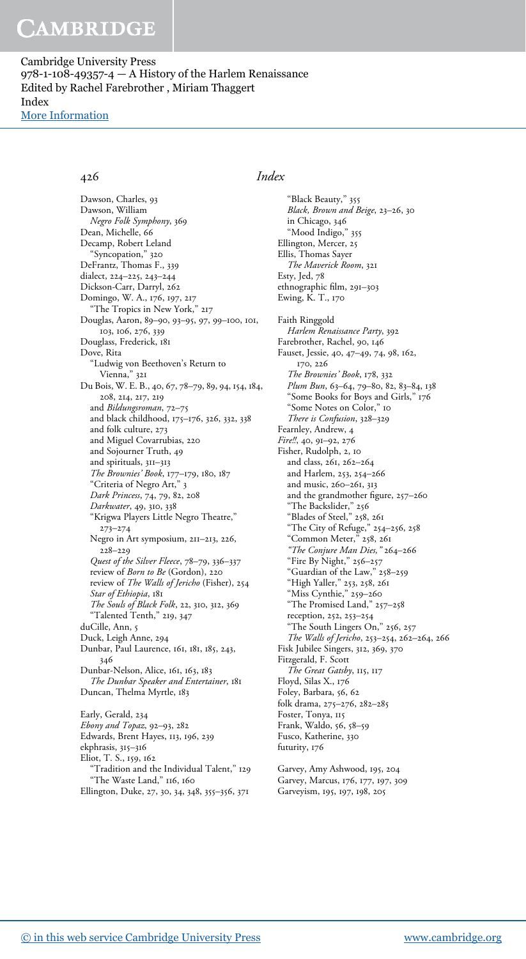Cambridge University Press 978-1-108-49357-4  $-$  A History of the Harlem Renaissance Edited by Rachel Farebrother , Miriam Thaggert Index [More Information](www.cambridge.org/9781108493574)

Dawson, Charles, 93 Dawson, William Negro Folk Symphony, 369 Dean, Michelle, 66 Decamp, Robert Leland "Syncopation," 320 DeFrantz, Thomas F., 339 dialect, 224–225, 243–244 Dickson-Carr, Darryl, 262 Domingo, W. A., 176, 197, 217 "The Tropics in New York," 217 Douglas, Aaron, 89–90, 93–95, 97, 99–100, 101, 103, 106, 276, 339 Douglass, Frederick, 181 Dove, Rita "Ludwig von Beethoven's Return to Vienna," 321 Du Bois, W. E. B., 40, 67, 78–79, 89, 94, 154, 184, 208, 214, 217, 219 and Bildungsroman, 72–75 and black childhood, 175–176, 326, 332, 338 and folk culture, 273 and Miguel Covarrubias, 220 and Sojourner Truth, 49 and spirituals, 311–313 The Brownies' Book, 177-179, 180, 187 "Criteria of Negro Art," 3 Dark Princess, 74, 79, 82, 208 Darkwater, 49, 310, 338 "Krigwa Players Little Negro Theatre," 273–274 Negro in Art symposium, 211–213, 226, 228–229 Quest of the Silver Fleece, 78–79, 336–337 review of Born to Be (Gordon), 220 review of The Walls of Jericho (Fisher), 254 Star of Ethiopia, 181 The Souls of Black Folk, 22, 310, 312, 369 "Talented Tenth," 219, 347 duCille, Ann, 5 Duck, Leigh Anne, 294 Dunbar, Paul Laurence, 161, 181, 185, 243, 346 Dunbar-Nelson, Alice, 161, 163, 183 The Dunbar Speaker and Entertainer, 181 Duncan, Thelma Myrtle, 183 Early, Gerald, 234 Ebony and Topaz, 92–93, 282 Edwards, Brent Hayes, 113, 196, 239 ekphrasis, 315–316 Eliot, T. S., 159, 162

"Tradition and the Individual Talent," 129 "The Waste Land," 116, 160

Ellington, Duke, 27, 30, 34, 348, 355–356, 371

### 426 Index

"Black Beauty," 355 Black, Brown and Beige, 23–26, 30 in Chicago, 346 "Mood Indigo," 355 Ellington, Mercer, 25 Ellis, Thomas Sayer The Maverick Room, 321 Esty, Jed, 78 ethnographic film, 291–303 Ewing, K. T., 170 Faith Ringgold Harlem Renaissance Party, 392 Farebrother, Rachel, 90, 146 Fauset, Jessie, 40, 47–49, 74, 98, 162, 170, 226 The Brownies' Book, 178, 332 Plum Bun, 63-64, 79-80, 82, 83-84, 138 "Some Books for Boys and Girls," 176 "Some Notes on Color," 10 There is Confusion, 328–329 Fearnley, Andrew, 4 Fire!!, 40, 91–92, 276 Fisher, Rudolph, 2, 10 and class, 261, 262–264 and Harlem, 253, 254–266 and music, 260–261, 313 and the grandmother figure, 257–260 "The Backslider," 256 "Blades of Steel," 258, 261 "The City of Refuge," 254–256, 258 "Common Meter," 258, 261 "The Conjure Man Dies," 264–266 "Fire By Night," 256–257 "Guardian of the Law," 258–259 "High Yaller," 253, 258, 261 "Miss Cynthie," 259–260 "The Promised Land," 257–258 reception, 252, 253–254 "The South Lingers On," 256, 257 The Walls of Jericho, 253–254, 262–264, 266 Fisk Jubilee Singers, 312, 369, 370 Fitzgerald, F. Scott The Great Gatsby, 115, 117 Floyd, Silas X., 176 Foley, Barbara, 56, 62 folk drama, 275–276, 282–285 Foster, Tonya, 115 Frank, Waldo, 56, 58–59 Fusco, Katherine, 330 futurity, 176

Garvey, Amy Ashwood, 195, 204 Garvey, Marcus, 176, 177, 197, 309 Garveyism, 195, 197, 198, 205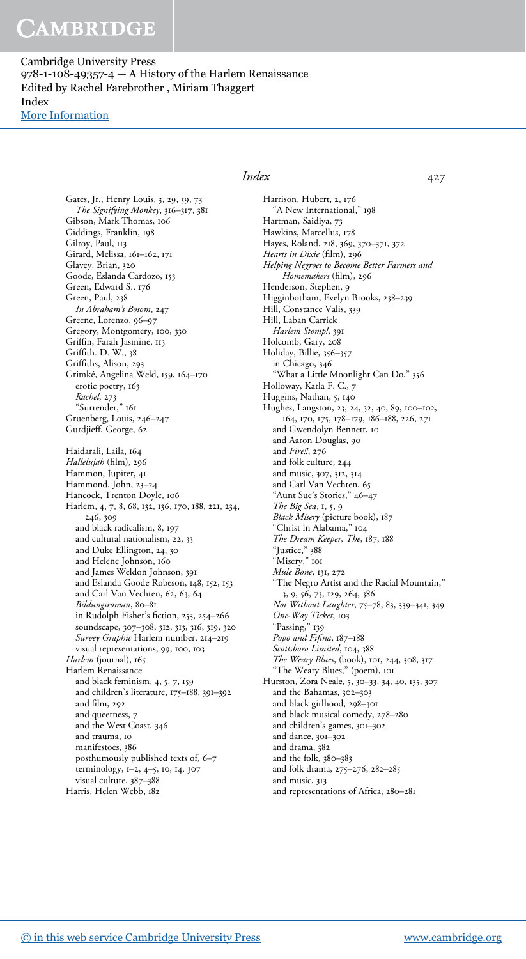Cambridge University Press 978-1-108-49357-4 — A History of the Harlem Renaissance Edited by Rachel Farebrother , Miriam Thaggert Index [More Information](www.cambridge.org/9781108493574)

> Gates, Jr., Henry Louis, 3, 29, 59, 73 The Signifying Monkey, 316–317, 381 Gibson, Mark Thomas, 106 Giddings, Franklin, 198 Gilroy, Paul, 113 Girard, Melissa, 161–162, 171 Glavey, Brian, 320 Goode, Eslanda Cardozo, 153 Green, Edward S., 176 Green, Paul, 238 In Abraham's Bosom, 247 Greene, Lorenzo, 96–97 Gregory, Montgomery, 100, 330 Griffin, Farah Jasmine, 113 Griffith. D. W., 38 Griffiths, Alison, 293 Grimké, Angelina Weld, 159, 164–170 erotic poetry, 163 Rachel, 273 "Surrender," 161 Gruenberg, Louis, 246–247 Gurdjieff, George, 62 Haidarali, Laila, 164 Hallelujah (film), 296 Hammon, Jupiter, 41 Hammond, John, 23–24 Hancock, Trenton Doyle, 106 Harlem, 4, 7, 8, 68, 132, 136, 170, 188, 221, 234, 246, 309 and black radicalism, 8, 197 and cultural nationalism, 22, 33 and Duke Ellington, 24, 30 and Helene Johnson, 160 and James Weldon Johnson, 391 and Eslanda Goode Robeson, 148, 152, 153 and Carl Van Vechten, 62, 63, 64 Bildungsroman, 80–81 in Rudolph Fisher's fiction, 253, 254–266 soundscape, 307–308, 312, 313, 316, 319, 320 Survey Graphic Harlem number, 214–219 visual representations, 99, 100, 103 Harlem (journal), 165 Harlem Renaissance and black feminism, 4, 5, 7, 159 and children's literature, 175–188, 391–392 and film, 292 and queerness, 7 and the West Coast, 346 and trauma, 10 manifestoes, 386 posthumously published texts of, 6–7 terminology, 1–2, 4–5, 10, 14, 307 visual culture, 387–388 Harris, Helen Webb, 182

#### Index 427

Harrison, Hubert, 2, 176 "A New International," 198 Hartman, Saidiya, 73 Hawkins, Marcellus, 178 Hayes, Roland, 218, 369, 370–371, 372 Hearts in Dixie (film), 296 Helping Negroes to Become Better Farmers and Homemakers (film), 296 Henderson, Stephen, 9 Higginbotham, Evelyn Brooks, 238–239 Hill, Constance Valis, 339 Hill, Laban Carrick Harlem Stomp!, 391 Holcomb, Gary, 208 Holiday, Billie, 356–357 in Chicago, 346 "What a Little Moonlight Can Do," 356 Holloway, Karla F. C., 7 Huggins, Nathan, 5, 140 Hughes, Langston, 23, 24, 32, 40, 89, 100–102, 164, 170, 175, 178–179, 186–188, 226, 271 and Gwendolyn Bennett, 10 and Aaron Douglas, 90 and Fire!!, 276 and folk culture, 244 and music, 307, 312, 314 and Carl Van Vechten, 65 "Aunt Sue's Stories," 46–47 The Big Sea, 1, 5, 9 Black Misery (picture book), 187 "Christ in Alabama," 104 The Dream Keeper, The, 187, 188 "Justice," 388 "Misery," 101 Mule Bone, 131, 272 "The Negro Artist and the Racial Mountain," 3, 9, 56, 73, 129, 264, 386 Not Without Laughter, 75–78, 83, 339–341, 349 One-Way Ticket, 103 "Passing," 139 Popo and Fifina, 187-188 Scottsboro Limited, 104, 388 The Weary Blues, (book), 101, 244, 308, 317 "The Weary Blues," (poem), 101 Hurston, Zora Neale, 5, 30–33, 34, 40, 135, 307 and the Bahamas, 302–303 and black girlhood, 298–301 and black musical comedy, 278–280 and children's games, 301–302 and dance, 301–302 and drama, 382 and the folk, 380–383 and folk drama, 275–276, 282–285 and music, 313 and representations of Africa, 280–281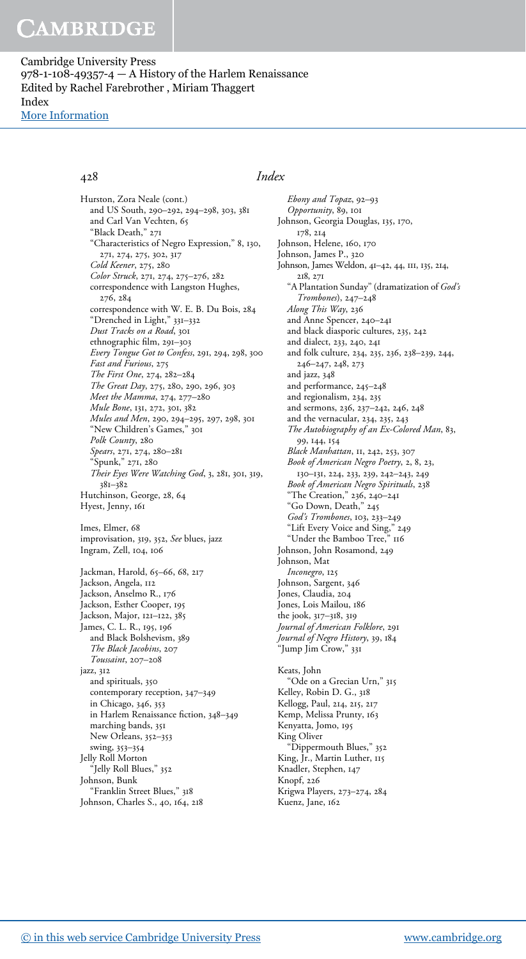Cambridge University Press 978-1-108-49357-4 — A History of the Harlem Renaissance Edited by Rachel Farebrother , Miriam Thaggert Index [More Information](www.cambridge.org/9781108493574)

Hurston, Zora Neale (cont.) and US South, 290–292, 294–298, 303, 381 and Carl Van Vechten, 65 "Black Death," 271 "Characteristics of Negro Expression," 8, 130, 271, 274, 275, 302, 317 Cold Keener, 275, 280 Color Struck, 271, 274, 275–276, 282 correspondence with Langston Hughes, 276, 284 correspondence with W. E. B. Du Bois, 284 "Drenched in Light," 331–332 Dust Tracks on a Road, 301 ethnographic film, 291–303 Every Tongue Got to Confess, 291, 294, 298, 300 Fast and Furious, 275 The First One, 274, 282–284 The Great Day, 275, 280, 290, 296, 303 Meet the Mamma, 274, 277–280 Mule Bone, 131, 272, 301, 382 Mules and Men, 290, 294–295, 297, 298, 301 "New Children's Games," 301 Polk County, 280 Spears, 271, 274, 280-281 "Spunk," 271, 280 Their Eyes Were Watching God, 3, 281, 301, 319, 381–382 Hutchinson, George, 28, 64 Hyest, Jenny, 161 Imes, Elmer, 68 improvisation, 319, 352, See blues, jazz Ingram, Zell, 104, 106 Jackman, Harold, 65–66, 68, 217 Jackson, Angela, 112 Jackson, Anselmo R., 176 Jackson, Esther Cooper, 195 Jackson, Major, 121–122, 385 James, C. L. R., 195, 196 and Black Bolshevism, 389

The Black Jacobins, 207 Toussaint, 207–208 jazz, 312 and spirituals, 350 contemporary reception, 347–349 in Chicago, 346, 353 in Harlem Renaissance fiction, 348–349 marching bands, 351 New Orleans, 352–353 swing, 353–354 Jelly Roll Morton "Jelly Roll Blues," 352 Johnson, Bunk "Franklin Street Blues," 318 Johnson, Charles S., 40, 164, 218

### 428 Index

Ebony and Topaz, 92–93 Opportunity, 89, 101 Johnson, Georgia Douglas, 135, 170, 178, 214 Johnson, Helene, 160, 170 Johnson, James P., 320 Johnson, James Weldon, 41–42, 44, 111, 135, 214, 218, 271 "A Plantation Sunday" (dramatization of God's Trombones), 247–248 Along This Way, 236 and Anne Spencer, 240–241 and black diasporic cultures, 235, 242 and dialect, 233, 240, 241 and folk culture, 234, 235, 236, 238–239, 244, 246–247, 248, 273 and jazz, 348 and performance, 245–248 and regionalism, 234, 235 and sermons, 236, 237–242, 246, 248 and the vernacular, 234, 235, 243 The Autobiography of an Ex-Colored Man, 83, 99, 144, 154 Black Manhattan, 11, 242, 253, 307 Book of American Negro Poetry, 2, 8, 23, 130–131, 224, 233, 239, 242–243, 249 Book of American Negro Spirituals, 238 "The Creation," 236, 240–241 "Go Down, Death," 245 God's Trombones, 103, 233–249 "Lift Every Voice and Sing," 249 "Under the Bamboo Tree," 116 Johnson, John Rosamond, 249 Johnson, Mat Inconegro, 125 Johnson, Sargent, 346 Jones, Claudia, 204 Jones, Lois Mailou, 186 the jook, 317–318, 319 Journal of American Folklore, 291 Journal of Negro History, 39, 184 "Jump Jim Crow," 331 Keats, John "Ode on a Grecian Urn," 315 Kelley, Robin D. G., 318 Kellogg, Paul, 214, 215, 217 Kemp, Melissa Prunty, 163 Kenyatta, Jomo, 195 King Oliver "Dippermouth Blues," 352 King, Jr., Martin Luther, 115 Knadler, Stephen, 147 Knopf, 226 Krigwa Players, 273–274, 284 Kuenz, Jane, 162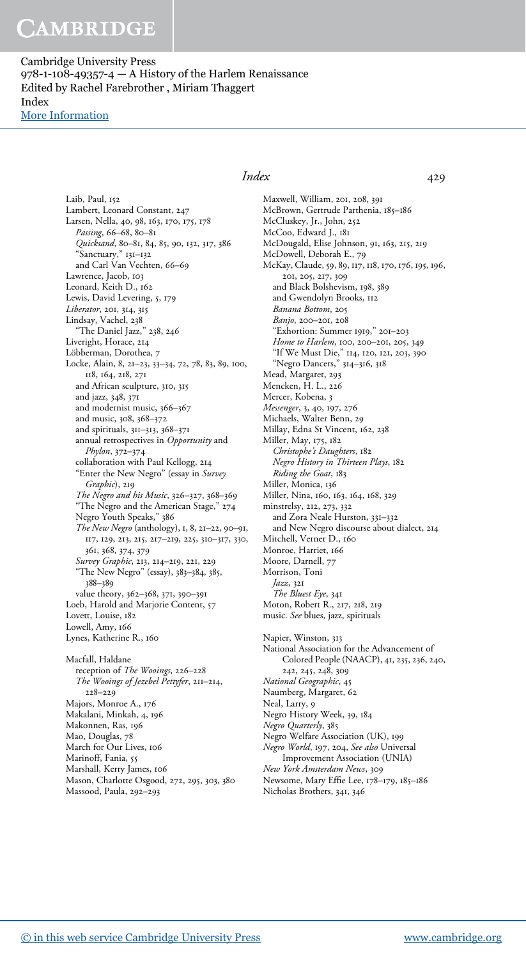Cambridge University Press 978-1-108-49357-4 — A History of the Harlem Renaissance Edited by Rachel Farebrother , Miriam Thaggert Index [More Information](www.cambridge.org/9781108493574)

> Laib, Paul, 152 Lambert, Leonard Constant, 247 Larsen, Nella, 40, 98, 163, 170, 175, 178 Passing, 66-68, 80-81 Quicksand, 80–81, 84, 85, 90, 132, 317, 386 "Sanctuary," 131–132 and Carl Van Vechten, 66–69 Lawrence, Jacob, 103 Leonard, Keith D., 162 Lewis, David Levering, 5, 179 Liberator, 201, 314, 315 Lindsay, Vachel, 238 "The Daniel Jazz," 238, 246 Liveright, Horace, 214 Löbberman, Dorothea, 7 Locke, Alain, 8, 21–23, 33–34, 72, 78, 83, 89, 100, 118, 164, 218, 271 and African sculpture, 310, 315 and jazz, 348, 371 and modernist music, 366–367 and music, 308, 368–372 and spirituals, 311–313, 368–371 annual retrospectives in Opportunity and Phylon, 372–374 collaboration with Paul Kellogg, 214 "Enter the New Negro" (essay in Survey Graphic), 219 The Negro and his Music, 326–327, 368–369 "The Negro and the American Stage," 274 Negro Youth Speaks," 386 The New Negro (anthology), 1, 8, 21–22, 90–91, 117, 129, 213, 215, 217–219, 225, 310–317, 330, 361, 368, 374, 379 Survey Graphic, 213, 214–219, 221, 229 "The New Negro" (essay), 383–384, 385, 388–389 value theory, 362–368, 371, 390–391 Loeb, Harold and Marjorie Content, 57 Lovett, Louise, 182 Lowell, Amy, 166 Lynes, Katherine R., 160 Macfall, Haldane reception of The Wooings, 226–228 The Wooings of Jezebel Pettyfer, 211–214, 228–229 Majors, Monroe A., 176 Makalani, Minkah, 4, 196 Makonnen, Ras, 196 Mao, Douglas, 78 March for Our Lives, 106 Marinoff, Fania, 55

### Index 429

Maxwell, William, 201, 208, 391 McBrown, Gertrude Parthenia, 185–186 McCluskey, Jr., John, 252 McCoo, Edward J., 181 McDougald, Elise Johnson, 91, 163, 215, 219 McDowell, Deborah E., 79 McKay, Claude, 59, 89, 117, 118, 170, 176, 195, 196, 201, 205, 217, 309 and Black Bolshevism, 198, 389 and Gwendolyn Brooks, 112 Banana Bottom, 205 Banjo, 200–201, 208 "Exhortion: Summer 1919," 201–203 Home to Harlem, 100, 200-201, 205, 349 "If We Must Die," 114, 120, 121, 203, 390 "Negro Dancers," 314–316, 318 Mead, Margaret, 293 Mencken, H. L., 226 Mercer, Kobena, 3 Messenger, 3, 40, 197, 276 Michaels, Walter Benn, 29 Millay, Edna St Vincent, 162, 238 Miller, May, 175, 182 Christophe's Daughters, 182 Negro History in Thirteen Plays, 182 Riding the Goat, 183 Miller, Monica, 136 Miller, Nina, 160, 163, 164, 168, 329 minstrelsy, 212, 273, 332 and Zora Neale Hurston, 331–332 and New Negro discourse about dialect, 214 Mitchell, Verner D., 160 Monroe, Harriet, 166 Moore, Darnell, 77 Morrison, Toni Jazz, 321 The Bluest Eye, 341 Moton, Robert R., 217, 218, 219 music. See blues, jazz, spirituals Napier, Winston, 313 National Association for the Advancement of Colored People (NAACP), 41, 235, 236, 240, 242, 245, 248, 309 National Geographic, 45 Naumberg, Margaret, 62 Neal, Larry, 9 Negro History Week, 39, 184 Negro Quarterly, 385 Negro Welfare Association (UK), 199 Negro World, 197, 204, See also Universal Improvement Association (UNIA) New York Amsterdam News, 309 Newsome, Mary Effie Lee, 178–179, 185–186

Nicholas Brothers, 341, 346

Marshall, Kerry James, 106

Massood, Paula, 292–293

Mason, Charlotte Osgood, 272, 295, 303, 380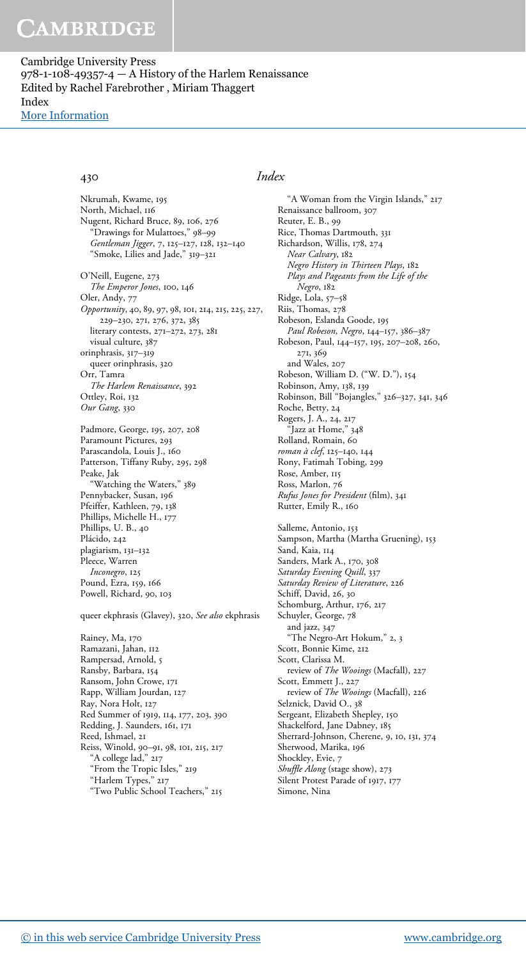Cambridge University Press 978-1-108-49357-4  $-$  A History of the Harlem Renaissance Edited by Rachel Farebrother , Miriam Thaggert Index [More Information](www.cambridge.org/9781108493574)

Nkrumah, Kwame, 195 North, Michael, 116 Nugent, Richard Bruce, 89, 106, 276 "Drawings for Mulattoes," 98–99 Gentleman Jigger, 7, 125–127, 128, 132–140 "Smoke, Lilies and Jade," 319–321 O'Neill, Eugene, 273 The Emperor Jones, 100, 146 Oler, Andy, 77 Opportunity, 40, 89, 97, 98, 101, 214, 215, 225, 227, 229–230, 271, 276, 372, 385 literary contests, 271–272, 273, 281 visual culture, 387 orinphrasis, 317–319 queer orinphrasis, 320 Orr, Tamra The Harlem Renaissance, 392 Ottley, Roi, 132 Our Gang, 330

Padmore, George, 195, 207, 208 Paramount Pictures, 293 Parascandola, Louis J., 160 Patterson, Tiffany Ruby, 295, 298 Peake, Jak "Watching the Waters," 389 Pennybacker, Susan, 196 Pfeiffer, Kathleen, 79, 138 Phillips, Michelle H., 177 Phillips, U. B., 40 Plácido, 242 plagiarism, 131–132 Pleece, Warren Inconegro, 125 Pound, Ezra, 159, 166 Powell, Richard, 90, 103

queer ekphrasis (Glavey), 320, See also ekphrasis

Rainey, Ma, 170 Ramazani, Jahan, 112 Rampersad, Arnold, 5 Ransby, Barbara, 154 Ransom, John Crowe, 171 Rapp, William Jourdan, 127 Ray, Nora Holt, 127 Red Summer of 1919, 114, 177, 203, 390 Redding, J. Saunders, 161, 171 Reed, Ishmael, 21 Reiss, Winold, 90–91, 98, 101, 215, 217 "A college lad," 217 "From the Tropic Isles," 219 "Harlem Types," 217 "Two Public School Teachers," 215

### 430 Index

"A Woman from the Virgin Islands," 217 Renaissance ballroom, 307 Reuter, E. B., 99 Rice, Thomas Dartmouth, 331 Richardson, Willis, 178, 274 Near Calvary, 182 Negro History in Thirteen Plays, 182 Plays and Pageants from the Life of the Negro, 182 Ridge, Lola, 57–58 Riis, Thomas, 278 Robeson, Eslanda Goode, 195 Paul Robeson, Negro, 144–157, 386–387 Robeson, Paul, 144–157, 195, 207–208, 260, 271, 369 and Wales, 207 Robeson, William D. ("W. D."), 154 Robinson, Amy, 138, 139 Robinson, Bill "Bojangles," 326–327, 341, 346 Roche, Betty, 24 Rogers, J. A., 24, 217 Jazz at Home," 348 Rolland, Romain, 60 roman à clef, 125–140, 144 Rony, Fatimah Tobing, 299 Rose, Amber, 115 Ross, Marlon, 76 Rufus Jones for President (film), 341 Rutter, Emily R., 160 Salleme, Antonio, 153 Sampson, Martha (Martha Gruening), 153 Sand, Kaia, 114 Sanders, Mark A., 170, 308 Saturday Evening Quill, 337 Saturday Review of Literature, 226 Schiff, David, 26, 30 Schomburg, Arthur, 176, 217 Schuyler, George, 78 and jazz, 347 "The Negro-Art Hokum," 2, 3 Scott, Bonnie Kime, 212 Scott, Clarissa M. review of The Wooings (Macfall), 227 Scott, Emmett J., 227 review of The Wooings (Macfall), 226 Selznick, David O., 38 Sergeant, Elizabeth Shepley, 150 Shackelford, Jane Dabney, 185 Sherrard-Johnson, Cherene, 9, 10, 131, 374 Sherwood, Marika, 196 Shockley, Evie, 7 Shuffle Along (stage show), 273 Silent Protest Parade of 1917, 177 Simone, Nina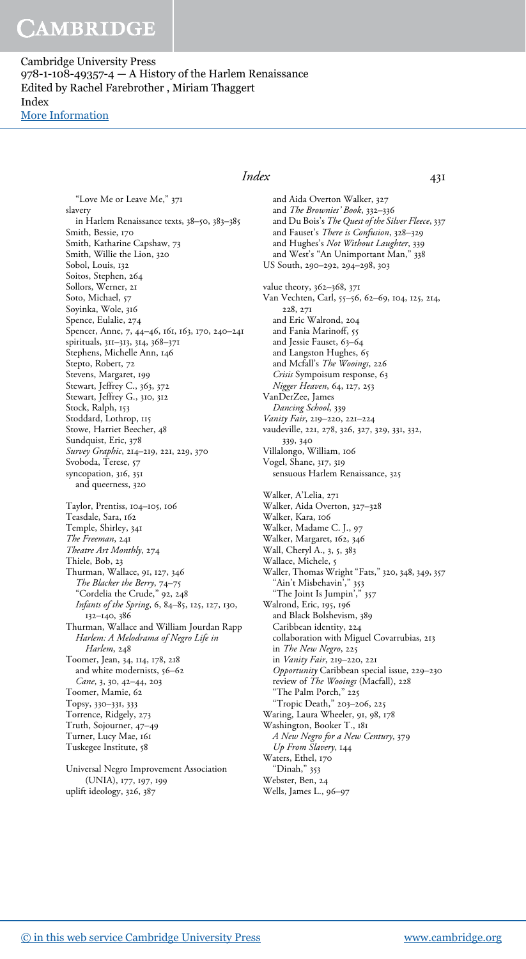Cambridge University Press 978-1-108-49357-4 — A History of the Harlem Renaissance Edited by Rachel Farebrother , Miriam Thaggert Index [More Information](www.cambridge.org/9781108493574)

> "Love Me or Leave Me," 371 slavery in Harlem Renaissance texts, 38–50, 383–385 Smith, Bessie, 170 Smith, Katharine Capshaw, 73 Smith, Willie the Lion, 320 Sobol, Louis, 132 Soitos, Stephen, 264 Sollors, Werner, 21 Soto, Michael, 57 Soyinka, Wole, 316 Spence, Eulalie, 274 Spencer, Anne, 7, 44–46, 161, 163, 170, 240–241 spirituals, 311–313, 314, 368–371 Stephens, Michelle Ann, 146 Stepto, Robert, 72 Stevens, Margaret, 199 Stewart, Jeffrey C., 363, 372 Stewart, Jeffrey G., 310, 312 Stock, Ralph, 153 Stoddard, Lothrop, 115 Stowe, Harriet Beecher, 48 Sundquist, Eric, 378 Survey Graphic, 214–219, 221, 229, 370 Svoboda, Terese, 57 syncopation, 316, 351 and queerness, 320 Taylor, Prentiss, 104–105, 106 Teasdale, Sara, 162 Temple, Shirley, 341 The Freeman, 241 Theatre Art Monthly, 274 Thiele, Bob, 23 Thurman, Wallace, 91, 127, 346 The Blacker the Berry, 74–75 "Cordelia the Crude," 92, 248 Infants of the Spring, 6, 84–85, 125, 127, 130, 132–140, 386 Thurman, Wallace and William Jourdan Rapp Harlem: A Melodrama of Negro Life in Harlem, 248 Toomer, Jean, 34, 114, 178, 218 and white modernists, 56–62 Cane, 3, 30, 42–44, 203 Toomer, Mamie, 62 Topsy, 330–331, 333 Torrence, Ridgely, 273 Truth, Sojourner, 47–49 Turner, Lucy Mae, 161 Tuskegee Institute, 58 Universal Negro Improvement Association (UNIA), 177, 197, 199

## Index 431

and Aida Overton Walker, 327 and The Brownies' Book, 332–336 and Du Bois's The Quest of the Silver Fleece, 337 and Fauset's There is Confusion, 328–329 and Hughes's Not Without Laughter, 339 and West's "An Unimportant Man," 338 US South, 290–292, 294–298, 303 value theory, 362–368, 371 Van Vechten, Carl, 55–56, 62–69, 104, 125, 214, 228, 271 and Eric Walrond, 204 and Fania Marinoff, 55 and Jessie Fauset, 63–64 and Langston Hughes, 65 and Mcfall's The Wooings, 226 Crisis Sympoisum response, 63 Nigger Heaven, 64, 127, 253 VanDerZee, James Dancing School, 339 Vanity Fair, 219–220, 221–224 vaudeville, 221, 278, 326, 327, 329, 331, 332, 339, 340 Villalongo, William, 106 Vogel, Shane, 317, 319 sensuous Harlem Renaissance, 325 Walker, A'Lelia, 271 Walker, Aida Overton, 327–328 Walker, Kara, 106 Walker, Madame C. J., 97 Walker, Margaret, 162, 346 Wall, Cheryl A., 3, 5, 383 Wallace, Michele, 5 Waller, Thomas Wright "Fats," 320, 348, 349, 357 "Ain't Misbehavin'," 353 "The Joint Is Jumpin'," 357 Walrond, Eric, 195, 196 and Black Bolshevism, 389 Caribbean identity, 224 collaboration with Miguel Covarrubias, 213 in The New Negro, 225 in Vanity Fair, 219–220, 221 Opportunity Caribbean special issue, 229–230 review of The Wooings (Macfall), 228 "The Palm Porch," 225 "Tropic Death," 203–206, 225 Waring, Laura Wheeler, 91, 98, 178 Washington, Booker T., 181 A New Negro for a New Century, 379 Up From Slavery, 144 Waters, Ethel, 170 "Dinah," 353 Webster, Ben, 24 Wells, James L., 96–97

uplift ideology, 326, 387